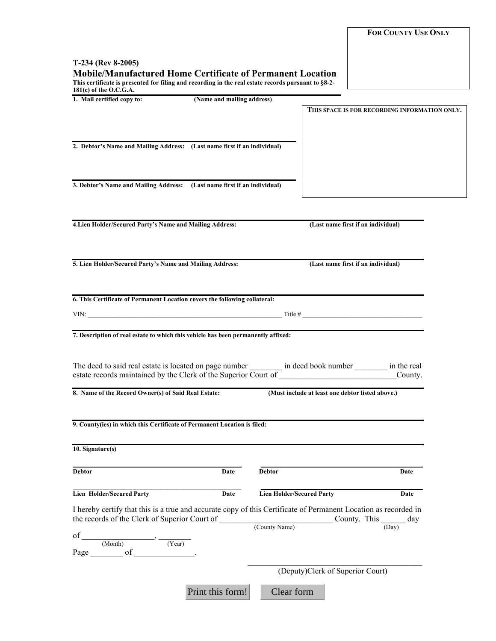**FOR COUNTY USE ONLY**

## **T-234 (Rev 8-2005) Mobile/Manufactured Home Certificate of Permanent Location**

**This certificate is presented for filing and recording in the real estate records pursuant to §8-2- 181(c) of the O.C.G.A.** 

| 1. Mail certified copy to:                                                                                                                              | (Name and mailing address) |                                  |                                                  |      |  |
|---------------------------------------------------------------------------------------------------------------------------------------------------------|----------------------------|----------------------------------|--------------------------------------------------|------|--|
|                                                                                                                                                         |                            |                                  | THIS SPACE IS FOR RECORDING INFORMATION ONLY.    |      |  |
|                                                                                                                                                         |                            |                                  |                                                  |      |  |
|                                                                                                                                                         |                            |                                  |                                                  |      |  |
| 2. Debtor's Name and Mailing Address: (Last name first if an individual)                                                                                |                            |                                  |                                                  |      |  |
|                                                                                                                                                         |                            |                                  |                                                  |      |  |
|                                                                                                                                                         |                            |                                  |                                                  |      |  |
| 3. Debtor's Name and Mailing Address: (Last name first if an individual)                                                                                |                            |                                  |                                                  |      |  |
|                                                                                                                                                         |                            |                                  |                                                  |      |  |
|                                                                                                                                                         |                            |                                  |                                                  |      |  |
|                                                                                                                                                         |                            |                                  |                                                  |      |  |
| 4. Lien Holder/Secured Party's Name and Mailing Address:                                                                                                |                            |                                  | (Last name first if an individual)               |      |  |
|                                                                                                                                                         |                            |                                  |                                                  |      |  |
|                                                                                                                                                         |                            |                                  |                                                  |      |  |
| 5. Lien Holder/Secured Party's Name and Mailing Address:                                                                                                |                            |                                  | (Last name first if an individual)               |      |  |
|                                                                                                                                                         |                            |                                  |                                                  |      |  |
|                                                                                                                                                         |                            |                                  |                                                  |      |  |
| 6. This Certificate of Permanent Location covers the following collateral:                                                                              |                            |                                  |                                                  |      |  |
|                                                                                                                                                         |                            |                                  |                                                  |      |  |
| VIN: $\frac{1}{2}$ Title # $\frac{1}{2}$ Title # $\frac{1}{2}$ Title # $\frac{1}{2}$ Title # $\frac{1}{2}$                                              |                            |                                  |                                                  |      |  |
|                                                                                                                                                         |                            |                                  |                                                  |      |  |
| 7. Description of real estate to which this vehicle has been permanently affixed:                                                                       |                            |                                  |                                                  |      |  |
|                                                                                                                                                         |                            |                                  |                                                  |      |  |
|                                                                                                                                                         |                            |                                  |                                                  |      |  |
|                                                                                                                                                         |                            |                                  |                                                  |      |  |
|                                                                                                                                                         |                            |                                  |                                                  |      |  |
| 8. Name of the Record Owner(s) of Said Real Estate:                                                                                                     |                            |                                  | (Must include at least one debtor listed above.) |      |  |
|                                                                                                                                                         |                            |                                  |                                                  |      |  |
| 9. County(ies) in which this Certificate of Permanent Location is filed:                                                                                |                            |                                  |                                                  |      |  |
|                                                                                                                                                         |                            |                                  |                                                  |      |  |
|                                                                                                                                                         |                            |                                  |                                                  |      |  |
| $10.$ Signature(s)                                                                                                                                      |                            |                                  |                                                  |      |  |
|                                                                                                                                                         |                            |                                  |                                                  |      |  |
| <b>Debtor</b>                                                                                                                                           | Date                       | <b>Debtor</b>                    |                                                  | Date |  |
|                                                                                                                                                         |                            |                                  |                                                  |      |  |
| <b>Lien Holder/Secured Party</b>                                                                                                                        | Date                       | <b>Lien Holder/Secured Party</b> |                                                  | Date |  |
| I hereby certify that this is a true and accurate copy of this Certificate of Permanent Location as recorded in                                         |                            |                                  |                                                  |      |  |
| the records of the Clerk of Superior Court of $\frac{C_{\text{Cunty Name}}}{C_{\text{Cunty Name}}}$ County. This $\frac{C_{\text{Ounty }1}}{(Day)}$ day |                            |                                  |                                                  |      |  |
|                                                                                                                                                         |                            |                                  |                                                  |      |  |
| of $\frac{ }{(Month)}$ $\rightarrow$ $\frac{ }{(Year)}$                                                                                                 |                            |                                  |                                                  |      |  |
|                                                                                                                                                         |                            |                                  |                                                  |      |  |
|                                                                                                                                                         |                            |                                  |                                                  |      |  |
|                                                                                                                                                         |                            | (Deputy)Clerk of Superior Court) |                                                  |      |  |
|                                                                                                                                                         | Print this form!           | Clear form                       |                                                  |      |  |
|                                                                                                                                                         |                            |                                  |                                                  |      |  |